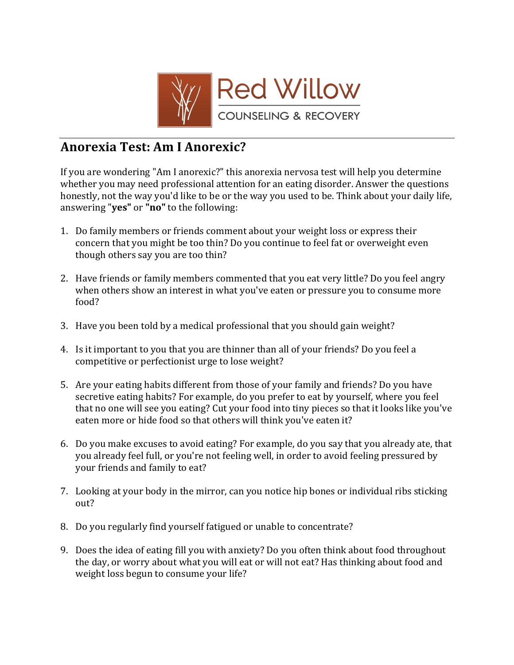

## **Anorexia Test: Am I Anorexic?**

If you are wondering "Am I anorexic?" this anorexia nervosa test will help you determine whether you may need professional attention for an eating disorder. Answer the questions honestly, not the way you'd like to be or the way you used to be. Think about your daily life, answering "yes" or "no" to the following:

- 1. Do family members or friends comment about your weight loss or express their concern that you might be too thin? Do you continue to feel fat or overweight even though others say you are too thin?
- 2. Have friends or family members commented that you eat very little? Do you feel angry when others show an interest in what you've eaten or pressure you to consume more food?
- 3. Have you been told by a medical professional that you should gain weight?
- 4. Is it important to you that you are thinner than all of your friends? Do you feel a competitive or perfectionist urge to lose weight?
- 5. Are your eating habits different from those of your family and friends? Do you have secretive eating habits? For example, do you prefer to eat by yourself, where you feel that no one will see you eating? Cut your food into tiny pieces so that it looks like you've eaten more or hide food so that others will think you've eaten it?
- 6. Do you make excuses to avoid eating? For example, do you say that you already ate, that you already feel full, or you're not feeling well, in order to avoid feeling pressured by your friends and family to eat?
- 7. Looking at your body in the mirror, can you notice hip bones or individual ribs sticking out?
- 8. Do you regularly find yourself fatigued or unable to concentrate?
- 9. Does the idea of eating fill you with anxiety? Do you often think about food throughout the day, or worry about what you will eat or will not eat? Has thinking about food and weight loss begun to consume your life?